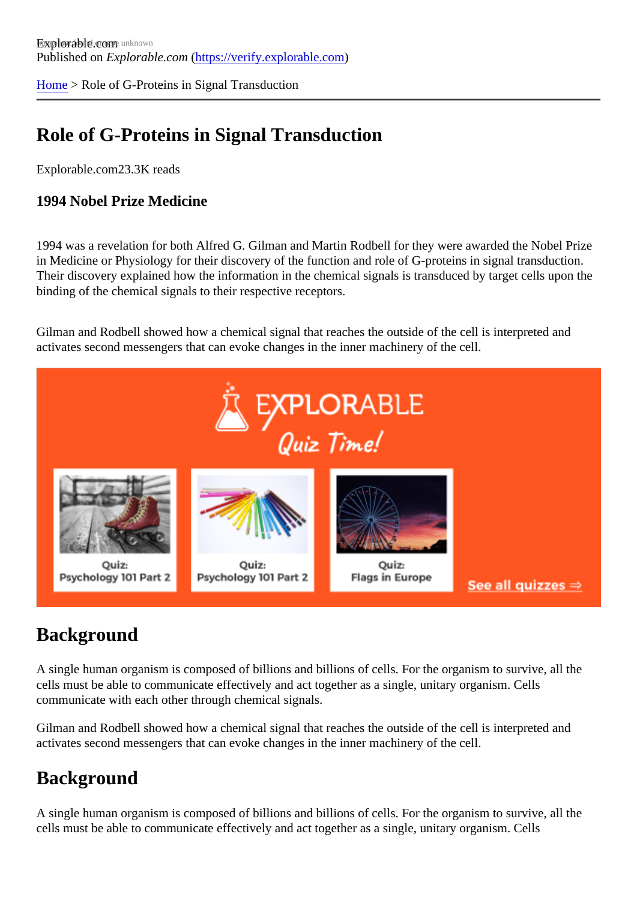[Home](https://verify.explorable.com/) > Role of G-Proteins in Signal Transduction

## Role of G-Proteins in Signal Transduction

Explorable.com23.3K reads

1994 Nobel Prize Medicine

1994 was a revelation for both Alfred G. Gilman and Martin Rodbell for they were awarded the Nobel Prize in Medicine or Physiology for their discovery of the function and role of G-proteins in signal transduction. Their discovery explained how the information in the chemical signals is transduced by target cells upon the binding of the chemical signals to their respective receptors.

Gilman and Rodbell showed how a chemical signal that reaches the outside of the cell is interpreted and activates second messengers that can evoke changes in the inner machinery of the cell.

#### **Background**

A single human organism is composed of billions and billions of cells. For the organism to survive, all the cells must be able to communicate effectively and act together as a single, unitary organism. Cells communicate with each other through chemical signals.

Gilman and Rodbell showed how a chemical signal that reaches the outside of the cell is interpreted and activates second messengers that can evoke changes in the inner machinery of the cell.

#### **Background**

A single human organism is composed of billions and billions of cells. For the organism to survive, all the cells must be able to communicate effectively and act together as a single, unitary organism. Cells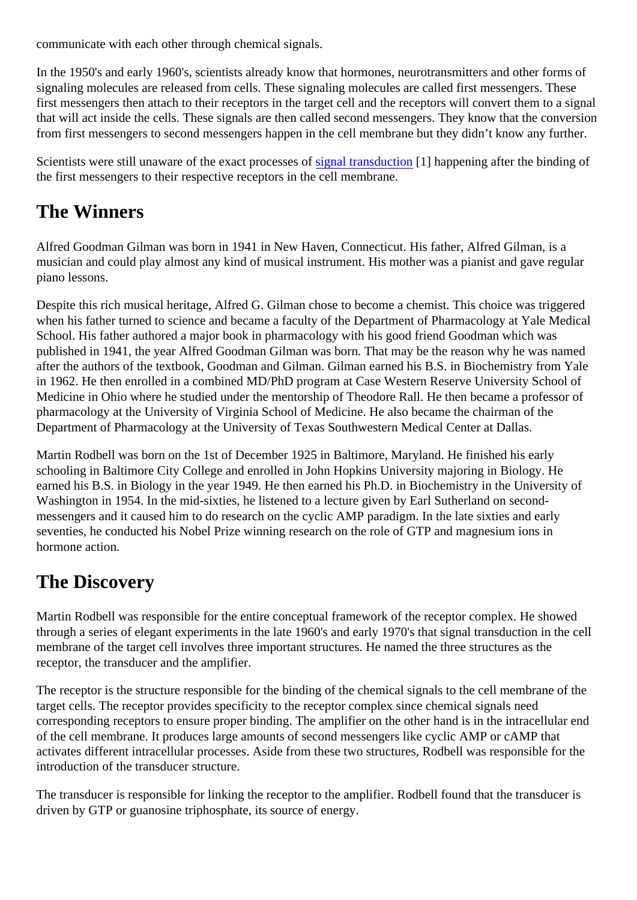communicate with each other through chemical signals.

In the 1950's and early 1960's, scientists already know that hormones, neurotransmitters and other forms signaling molecules are released from cells. These signaling molecules are called first messengers. These first messengers then attach to their receptors in the target cell and the receptors will convert them to a sig that will act inside the cells. These signals are then called second messengers. They know that the conver from first messengers to second messengers happen in the cell membrane but they didn't know any furthe

Scientists were still unaware of the exact processes of it ransduction nappening after the binding of the first messengers to their respective receptors in the cell membrane.

## The Winners

Alfred Goodman Gilman was born in 1941 in New Haven, Connecticut. His father, Alfred Gilman, is a musician and could play almost any kind of musical instrument. His mother was a pianist and gave regular piano lessons.

Despite this rich musical heritage, Alfred G. Gilman chose to become a chemist. This choice was triggered when his father turned to science and became a faculty of the Department of Pharmacology at Yale Medic School. His father authored a major book in pharmacology with his good friend Goodman which was published in 1941, the year Alfred Goodman Gilman was born. That may be the reason why he was name after the authors of the textbook, Goodman and Gilman. Gilman earned his B.S. in Biochemistry from Yale in 1962. He then enrolled in a combined MD/PhD program at Case Western Reserve University School of Medicine in Ohio where he studied under the mentorship of Theodore Rall. He then became a professor of pharmacology at the University of Virginia School of Medicine. He also became the chairman of the Department of Pharmacology at the University of Texas Southwestern Medical Center at Dallas.

Martin Rodbell was born on the 1st of December 1925 in Baltimore, Maryland. He finished his early schooling in Baltimore City College and enrolled in John Hopkins University majoring in Biology. He earned his B.S. in Biology in the year 1949. He then earned his Ph.D. in Biochemistry in the University of Washington in 1954. In the mid-sixties, he listened to a lecture given by Earl Sutherland on secondmessengers and it caused him to do research on the cyclic AMP paradigm. In the late sixties and early seventies, he conducted his Nobel Prize winning research on the role of GTP and magnesium ions in hormone action.

# The Discovery

Martin Rodbell was responsible for the entire conceptual framework of the receptor complex. He showed through a series of elegant experiments in the late 1960's and early 1970's that signal transduction in the or membrane of the target cell involves three important structures. He named the three structures as the receptor, the transducer and the amplifier.

The receptor is the structure responsible for the binding of the chemical signals to the cell membrane of the target cells. The receptor provides specificity to the receptor complex since chemical signals need corresponding receptors to ensure proper binding. The amplifier on the other hand is in the intracellular en of the cell membrane. It produces large amounts of second messengers like cyclic AMP or cAMP that activates different intracellular processes. Aside from these two structures, Rodbell was responsible for the introduction of the transducer structure.

The transducer is responsible for linking the receptor to the amplifier. Rodbell found that the transducer is driven by GTP or guanosine triphosphate, its source of energy.